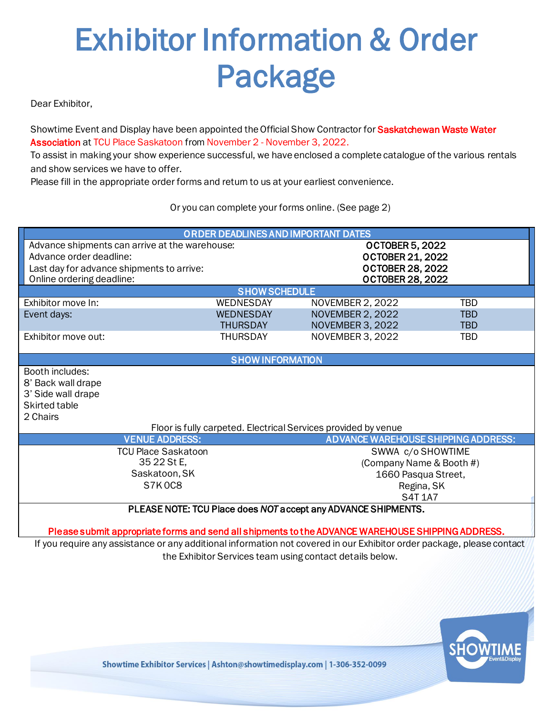# Exhibitor Information & Order Package

Dear Exhibitor,

Showtime Event and Display have been appointed the Official Show Contractor for Saskatchewan Waste Water Association at TCU Place Saskatoon from November 2 - November 3, 2022.

To assist in making your show experience successful, we have enclosed a complete catalogue of the various rentals and show services we have to offer.

Please fill in the appropriate order forms and return to us at your earliest convenience.

Or you can complete your forms online. (See page 2)

| ORDER DEADLINES AND IMPORTANT DATES            |                         |                                                                                                   |            |  |  |
|------------------------------------------------|-------------------------|---------------------------------------------------------------------------------------------------|------------|--|--|
| Advance shipments can arrive at the warehouse: |                         | <b>OCTOBER 5, 2022</b>                                                                            |            |  |  |
| Advance order deadline:                        |                         | <b>OCTOBER 21, 2022</b>                                                                           |            |  |  |
| Last day for advance shipments to arrive:      |                         | <b>OCTOBER 28, 2022</b>                                                                           |            |  |  |
| Online ordering deadline:                      |                         | <b>OCTOBER 28, 2022</b>                                                                           |            |  |  |
|                                                | <b>SHOW SCHEDULE</b>    |                                                                                                   |            |  |  |
| Exhibitor move In:                             | WEDNESDAY               | <b>NOVEMBER 2, 2022</b>                                                                           | <b>TBD</b> |  |  |
| Event days:                                    | <b>WEDNESDAY</b>        | <b>NOVEMBER 2, 2022</b>                                                                           | <b>TBD</b> |  |  |
|                                                | <b>THURSDAY</b>         | <b>NOVEMBER 3, 2022</b>                                                                           | <b>TBD</b> |  |  |
| Exhibitor move out:                            | <b>THURSDAY</b>         | NOVEMBER 3, 2022                                                                                  | TBD        |  |  |
|                                                |                         |                                                                                                   |            |  |  |
|                                                | <b>SHOW INFORMATION</b> |                                                                                                   |            |  |  |
| Booth includes:                                |                         |                                                                                                   |            |  |  |
| 8' Back wall drape                             |                         |                                                                                                   |            |  |  |
| 3' Side wall drape                             |                         |                                                                                                   |            |  |  |
| Skirted table                                  |                         |                                                                                                   |            |  |  |
| 2 Chairs                                       |                         |                                                                                                   |            |  |  |
|                                                |                         | Floor is fully carpeted. Electrical Services provided by venue                                    |            |  |  |
| <b>VENUE ADDRESS:</b>                          |                         | <b>ADVANCE WAREHOUSE SHIPPING ADDRESS:</b>                                                        |            |  |  |
| <b>TCU Place Saskatoon</b>                     |                         | SWWA c/o SHOWTIME                                                                                 |            |  |  |
| 35 22 St E,                                    |                         | (Company Name & Booth #)                                                                          |            |  |  |
| Saskatoon, SK                                  |                         | 1660 Pasqua Street,                                                                               |            |  |  |
| S7K0C8                                         |                         | Regina, SK                                                                                        |            |  |  |
|                                                |                         | <b>S4T 1A7</b>                                                                                    |            |  |  |
|                                                |                         | PLEASE NOTE: TCU Place does NOT accept any ADVANCE SHIPMENTS.                                     |            |  |  |
|                                                |                         |                                                                                                   |            |  |  |
|                                                |                         | Please submit appropriate forms and send all shipments to the ADVANCE WAREHOUSE SHIPPING ADDRESS. |            |  |  |

If you require any assistance or any additional information not covered in our Exhibitor order package, please contact the Exhibitor Services team using contact details below.

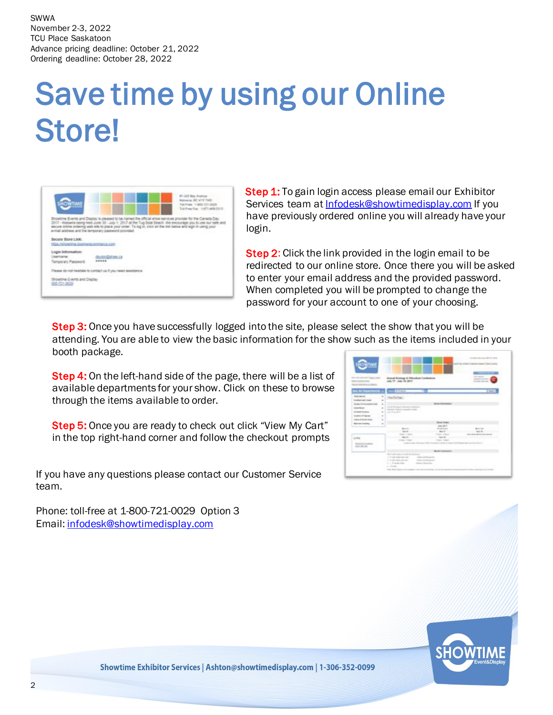## Save time by using our Online Store!



**Step 1:** To gain login access please email our Exhibitor Services team a[t Infodesk@showtimedisplay.com](mailto:Infodesk@showtimedisplay.com) If you have previously ordered online you will already have your login.

Step 2: Click the link provided in the login email to be redirected to our online store. Once there you will be asked to enter your email address and the provided password. When completed you will be prompted to change the password for your account to one of your choosing.

Step 3: Once you have successfully logged into the site, please select the show that you will be attending. You are able to view the basic information for the show such as the items included in your booth package.

Step 4: On the left-hand side of the page, there will be a list of available departments for your show. Click on these to browse through the items available to order.

**Step 5:** Once you are ready to check out click "View My Cart" in the top right-hand corner and follow the checkout prompts

If you have any questions please contact our Customer Service team.

Phone: toll-free at 1-800-721-0029 Option 3 Email: [infodesk@showtimedisplay.com](mailto:infodesk@showtimedisplay.com)

| <b>MATERIAL</b><br>month of<br><b>SEATS</b>                                                                                                                                                                                                                                    |                                                 | nuat Einzings & Winschen Tambeanse<br>1971 - Jaan Hr. 2017                                                                                                                                                                                                                                                                                        |                                                                                                                                        | <b>COLORADO</b><br><b>START STATES</b><br><b>STAND WITH</b>                                                                          |
|--------------------------------------------------------------------------------------------------------------------------------------------------------------------------------------------------------------------------------------------------------------------------------|-------------------------------------------------|---------------------------------------------------------------------------------------------------------------------------------------------------------------------------------------------------------------------------------------------------------------------------------------------------------------------------------------------------|----------------------------------------------------------------------------------------------------------------------------------------|--------------------------------------------------------------------------------------------------------------------------------------|
| 143                                                                                                                                                                                                                                                                            |                                                 | <b>Sand Chinese</b>                                                                                                                                                                                                                                                                                                                               | ۰                                                                                                                                      | m                                                                                                                                    |
| <b>Brian Secrets</b><br><b><i>Institute edit Couple</i></b><br><b>Double A Chapment on the</b><br>American 1<br><b>Includi koloni</b><br><b>Gradder &amp; Ramski</b><br>comed in book since.<br><b>Manufacturers</b><br>Long<br><b>British Andrew Hillman</b><br>Latin Atlanta | ×<br>$\blacksquare$<br>٠<br>٠<br>$\overline{a}$ | Die Suffan:<br>come and the property of the first first first product that the product of the company of the second company of the second company of the second company of the second company of the second company of the second company of<br>-----<br><b>Boundary</b><br>Tax III.<br><b>CONTRACTOR</b><br><b>MALLEY</b><br>C. Freedom Children | <b>Rock Town</b><br>are 1917<br>Tomai Shop is<br>$-90437$<br>Transport of Monter<br>taxe of<br>There 1444<br><b>Anticomete all and</b> | <b>Board State</b><br><b>May 20 11 - The Company of Company</b><br><b>Detroited advice determined</b><br><b>SALES</b><br>$1.1 - 1.1$ |
|                                                                                                                                                                                                                                                                                |                                                 | The County and<br><b>Service</b><br>1. Finds Inspectments<br>or 10 high detailed state want                                                                                                                                                                                                                                                       | <b>Broth Industries</b><br>The air and the star board<br>Chair and Boderman                                                            |                                                                                                                                      |

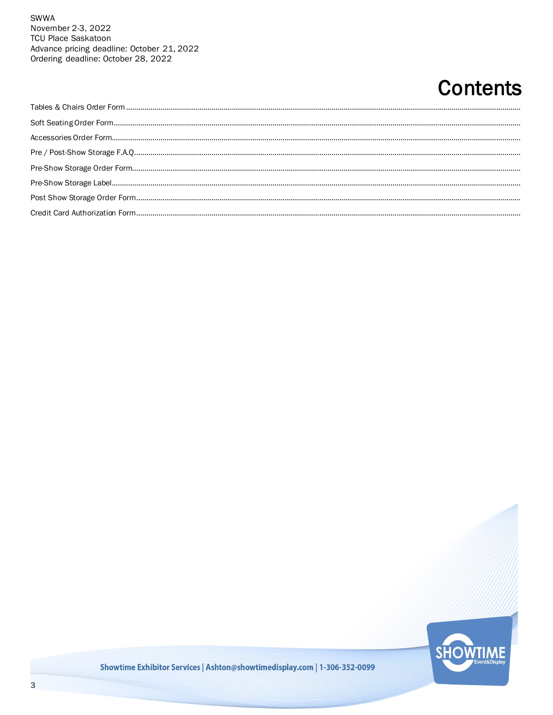### **Contents**

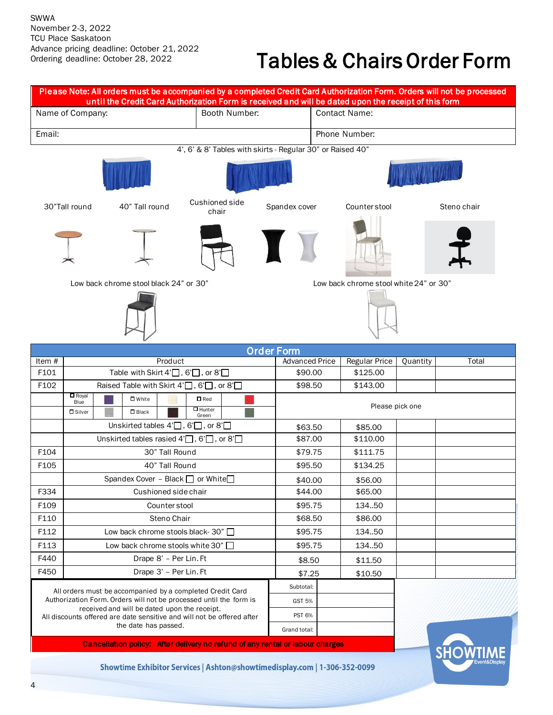### Tables & Chairs Order Form

|        |                                                            | Please Note: All orders must be accompanied by a completed Credit Card Authorization Form. Orders will not be processed<br>until the Credit Card Authorization Form is received and will be dated upon the receipt of this form |                                         |                               |                     |                                        |          |             |  |
|--------|------------------------------------------------------------|---------------------------------------------------------------------------------------------------------------------------------------------------------------------------------------------------------------------------------|-----------------------------------------|-------------------------------|---------------------|----------------------------------------|----------|-------------|--|
|        | Name of Company:                                           |                                                                                                                                                                                                                                 | Booth Number:                           |                               |                     | <b>Contact Name:</b>                   |          |             |  |
| Email: |                                                            |                                                                                                                                                                                                                                 |                                         |                               |                     | Phone Number:                          |          |             |  |
|        | 4', 6' & 8' Tables with skirts - Regular 30" or Raised 40" |                                                                                                                                                                                                                                 |                                         |                               |                     |                                        |          |             |  |
|        |                                                            |                                                                                                                                                                                                                                 |                                         |                               |                     |                                        |          |             |  |
|        | 30"Tall round                                              | 40" Tall round                                                                                                                                                                                                                  | Cushioned side<br>chair                 | Spandex cover                 |                     | Counter stool                          |          | Steno chair |  |
|        |                                                            |                                                                                                                                                                                                                                 |                                         |                               |                     |                                        |          |             |  |
|        |                                                            | Low back chrome stool black 24" or 30"                                                                                                                                                                                          |                                         |                               |                     | Low back chrome stool white 24" or 30" |          |             |  |
|        |                                                            |                                                                                                                                                                                                                                 |                                         | <b>Order Form</b>             |                     |                                        |          |             |  |
| Item # |                                                            | Product                                                                                                                                                                                                                         |                                         | <b>Advanced Price</b>         |                     | <b>Regular Price</b>                   | Quantity | Total       |  |
| F101   |                                                            | Table with Skirt $4' \square$ , 6' $\square$ , or $8' \square$                                                                                                                                                                  |                                         | \$90.00                       |                     | \$125.00                               |          |             |  |
| F102   |                                                            | Raised Table with Skirt $4' \square$ , 6' $\square$ , or $8' \square$                                                                                                                                                           |                                         | \$98.50                       |                     | \$143.00                               |          |             |  |
|        | $\Box$ Royal<br>Blue<br><b>D</b> Silver                    | $\square$ White<br>$\square$ Black                                                                                                                                                                                              | $\square$ Red<br>$\Box$ Hunter<br>Green |                               | Please pick one     |                                        |          |             |  |
|        |                                                            | Unskirted tables $4^{\prime}$ , 6 $^{\prime}$ , or 8 $^{\prime}$                                                                                                                                                                |                                         |                               | \$85.00<br>\$63.50  |                                        |          |             |  |
|        |                                                            | Unskirted tables rasied $4' \square$ , 6' $\square$ , or $8' \square$                                                                                                                                                           |                                         |                               | \$87.00<br>\$110.00 |                                        |          |             |  |
| F104   |                                                            | 30" Tall Round                                                                                                                                                                                                                  |                                         | \$79.75                       |                     | \$111.75                               |          |             |  |
| F105   |                                                            | 40" Tall Round                                                                                                                                                                                                                  |                                         |                               | \$95.50             |                                        |          |             |  |
|        |                                                            | Spandex Cover - Black $\Box$ or White $\Box$                                                                                                                                                                                    |                                         | \$40.00                       |                     | \$56.00                                |          |             |  |
| F334   |                                                            | Cushioned side chair                                                                                                                                                                                                            |                                         | \$44.00                       |                     | \$65.00                                |          |             |  |
| F109   |                                                            | Counter stool                                                                                                                                                                                                                   |                                         | \$95.75                       |                     | 134.50                                 |          |             |  |
| F110   |                                                            | Steno Chair                                                                                                                                                                                                                     |                                         | \$68.50                       |                     | \$86.00                                |          |             |  |
| F112   |                                                            | Low back chrome stools black- 30" □                                                                                                                                                                                             |                                         | \$95.75                       |                     | 134.50                                 |          |             |  |
| F113   |                                                            | Low back chrome stools white 30" $\Box$                                                                                                                                                                                         |                                         | \$95.75                       |                     | 134.50                                 |          |             |  |
| F440   |                                                            | Drape 8' - Per Lin. Ft                                                                                                                                                                                                          |                                         | \$8.50                        |                     | \$11.50                                |          |             |  |
| F450   |                                                            | Drape 3' - Per Lin. Ft                                                                                                                                                                                                          |                                         |                               |                     |                                        |          |             |  |
|        |                                                            |                                                                                                                                                                                                                                 |                                         | \$7.25                        |                     | \$10.50                                |          |             |  |
|        |                                                            | All orders must be accompanied by a completed Credit Card<br>Authorization Form. Orders will not be processed until the form is                                                                                                 |                                         | Subtotal:                     |                     |                                        |          |             |  |
|        |                                                            | received and will be dated upon the receipt.                                                                                                                                                                                    |                                         | <b>GST 5%</b>                 |                     |                                        |          |             |  |
|        |                                                            | All discounts offered are date sensitive and will not be offered after<br>the date has passed.                                                                                                                                  |                                         | <b>PST 6%</b><br>Grand total: |                     |                                        |          |             |  |
|        |                                                            | Cancellation policy: After delivery no refund of any rental or labour charges                                                                                                                                                   |                                         |                               |                     |                                        |          |             |  |
|        |                                                            | Showtime Exhibitor Services   Ashton@showtimedisplay.com   1-306-352-0099                                                                                                                                                       |                                         |                               |                     |                                        |          | <b>SHOW</b> |  |

4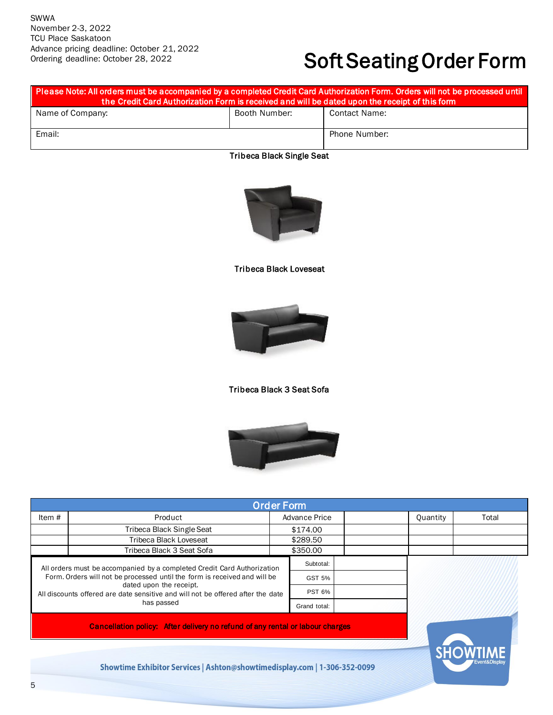### Soft Seating Order Form

| Please Note: All orders must be accompanied by a completed Credit Card Authorization Form. Orders will not be processed until<br>the Credit Card Authorization Form is received and will be dated upon the receipt of this form |               |               |  |  |  |  |
|---------------------------------------------------------------------------------------------------------------------------------------------------------------------------------------------------------------------------------|---------------|---------------|--|--|--|--|
| Name of Company:                                                                                                                                                                                                                | Booth Number: | Contact Name: |  |  |  |  |
| Email:                                                                                                                                                                                                                          |               | Phone Number: |  |  |  |  |

#### Tribeca Black Single Seat



#### Tribeca Black Loveseat



#### Tribeca Black 3 Seat Sofa



| <b>Order Form</b>                                                                                                                                                                                                                                                                |                                                                               |               |               |  |          |       |
|----------------------------------------------------------------------------------------------------------------------------------------------------------------------------------------------------------------------------------------------------------------------------------|-------------------------------------------------------------------------------|---------------|---------------|--|----------|-------|
| Item $#$                                                                                                                                                                                                                                                                         | Product                                                                       | Advance Price |               |  | Quantity | Total |
|                                                                                                                                                                                                                                                                                  | Tribeca Black Single Seat                                                     |               | \$174.00      |  |          |       |
|                                                                                                                                                                                                                                                                                  | <b>Tribeca Black Loveseat</b>                                                 |               | \$289.50      |  |          |       |
|                                                                                                                                                                                                                                                                                  | Tribeca Black 3 Seat Sofa                                                     |               | \$350.00      |  |          |       |
| All orders must be accompanied by a completed Credit Card Authorization<br>Form. Orders will not be processed until the form is received and will be<br>dated upon the receipt.<br>All discounts offered are date sensitive and will not be offered after the date<br>has passed |                                                                               |               | Subtotal:     |  |          |       |
|                                                                                                                                                                                                                                                                                  |                                                                               |               | GST 5%        |  |          |       |
|                                                                                                                                                                                                                                                                                  |                                                                               |               | <b>PST 6%</b> |  |          |       |
|                                                                                                                                                                                                                                                                                  |                                                                               |               | Grand total:  |  |          |       |
|                                                                                                                                                                                                                                                                                  | Cancellation policy: After delivery no refund of any rental or labour charges |               |               |  |          |       |

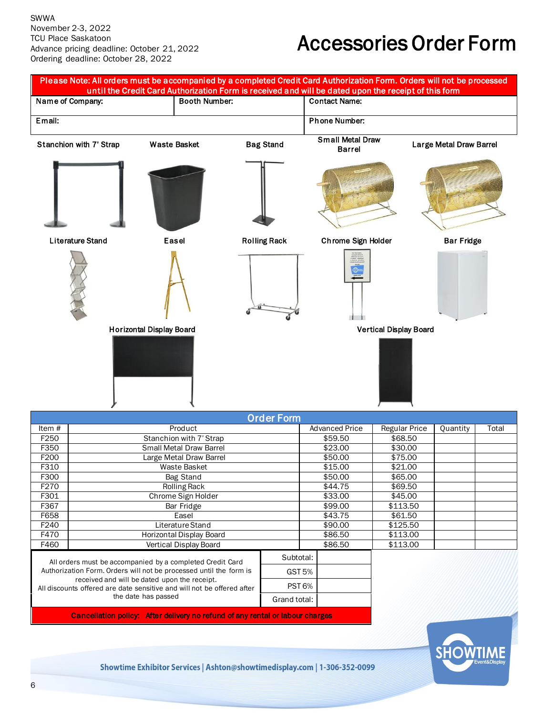### Accessories Order Form

|                  |                         |                                 |                      | Please Note: All orders must be accompanied by a completed Credit Card Authorization Form. Orders will not be processed<br>until the Credit Card Authorization Form is received and will be dated upon the receipt of this form |                                          |                               |                         |       |
|------------------|-------------------------|---------------------------------|----------------------|---------------------------------------------------------------------------------------------------------------------------------------------------------------------------------------------------------------------------------|------------------------------------------|-------------------------------|-------------------------|-------|
|                  | Name of Company:        |                                 | <b>Booth Number:</b> |                                                                                                                                                                                                                                 | <b>Contact Name:</b>                     |                               |                         |       |
| Email:           |                         |                                 |                      |                                                                                                                                                                                                                                 | <b>Phone Number:</b>                     |                               |                         |       |
|                  | Stanchion with 7' Strap | Waste Basket                    |                      | <b>Bag Stand</b>                                                                                                                                                                                                                | <b>Small Metal Draw</b><br><b>Barrel</b> |                               | Large Metal Draw Barrel |       |
|                  |                         |                                 |                      |                                                                                                                                                                                                                                 |                                          |                               |                         |       |
|                  | <b>Literature Stand</b> | Easel                           |                      | <b>Rolling Rack</b>                                                                                                                                                                                                             | Chrome Sign Holder                       |                               | <b>Bar Fridge</b>       |       |
|                  |                         |                                 |                      |                                                                                                                                                                                                                                 | $\frac{1}{\sqrt{2}}$                     |                               |                         |       |
|                  |                         |                                 |                      |                                                                                                                                                                                                                                 |                                          |                               |                         |       |
|                  |                         | <b>Horizontal Display Board</b> |                      |                                                                                                                                                                                                                                 |                                          | <b>Vertical Display Board</b> |                         |       |
|                  |                         |                                 |                      | <b>Order Form</b>                                                                                                                                                                                                               |                                          |                               |                         |       |
| Item #           |                         | Product                         |                      |                                                                                                                                                                                                                                 | <b>Advanced Price</b>                    | <b>Regular Price</b>          | Quantity                | Total |
| F250             |                         | Stanchion with 7' Strap         |                      |                                                                                                                                                                                                                                 | \$59.50                                  | \$68.50                       |                         |       |
| F350             |                         | <b>Small Metal Draw Barrel</b>  |                      |                                                                                                                                                                                                                                 | \$23.00                                  | \$30.00                       |                         |       |
| F200             |                         | Large Metal Draw Barrel         |                      |                                                                                                                                                                                                                                 | \$50.00                                  | \$75.00                       |                         |       |
| F310             |                         | Waste Basket                    |                      |                                                                                                                                                                                                                                 | \$15.00                                  | \$21.00                       |                         |       |
| F300             |                         | Bag Stand                       |                      |                                                                                                                                                                                                                                 | \$50.00                                  | \$65.00                       |                         |       |
| F <sub>270</sub> |                         | Rolling Rack                    |                      |                                                                                                                                                                                                                                 | \$44.75                                  | \$69.50                       |                         |       |
| F301             |                         | Chrome Sign Holder              |                      |                                                                                                                                                                                                                                 | \$33.00                                  | \$45.00                       |                         |       |
| F367             |                         | Bar Fridge                      |                      |                                                                                                                                                                                                                                 | \$99.00                                  | \$113.50                      |                         |       |
| F658             |                         | Easel                           |                      |                                                                                                                                                                                                                                 | \$43.75                                  | \$61.50                       |                         |       |
| F240             |                         | Literature Stand                |                      |                                                                                                                                                                                                                                 | \$90.00                                  | \$125.50                      |                         |       |
| F470             |                         | <b>Horizontal Display Board</b> |                      |                                                                                                                                                                                                                                 | \$86.50                                  | \$113.00                      |                         |       |
| F460             |                         | Vertical Display Board          |                      |                                                                                                                                                                                                                                 | \$86.50                                  | \$113.00                      |                         |       |

Authorization Form. Orders will not be processed until the form is received and will be dated upon the receipt. All discounts offered are date sensitive and will not be offered after the date has passed GST 5% PST 6% Grand total:

Cancellation policy: After delivery no refund of any rental or labour charges

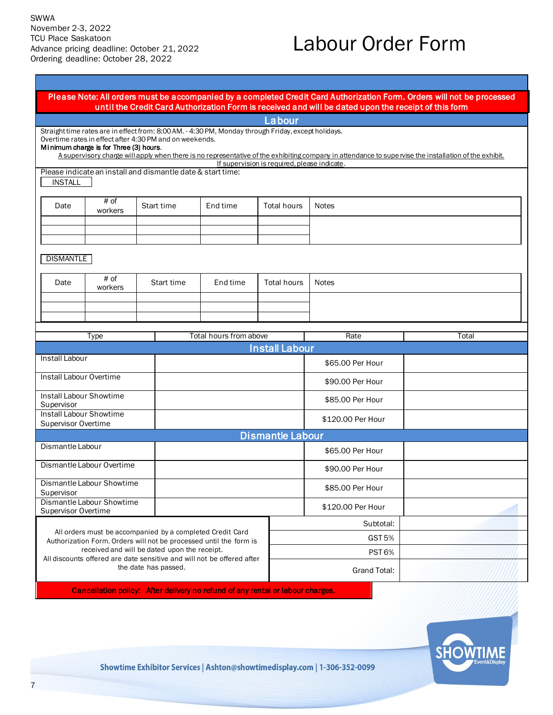### Labour Order Form

#### Please Note: All orders must be accompanied by a completed Credit Card Authorization Form. Orders will not be processed until the Credit Card Authorization Form is received and will be dated upon the receipt of this form

Labour

Straight time rates are in effect from: 8:00 AM. - 4:30 PM, Monday through Friday, except holidays. Overtime rates in effect after 4:30 PM and on weekends.

#### Mi nimum charge is for Three (3) hours.

A supervisory charge will apply when there is no representative of the exhibiting company in attendance to supe rvise the installation of the exhibit. If supervision is required, please indicate.

Please indicate an install and dismantle date & start time: INSTALL

| Date | # of<br>workers | Start time | End time | Total hours | Notes |
|------|-----------------|------------|----------|-------------|-------|
|      |                 |            |          |             |       |
|      |                 |            |          |             |       |
|      |                 |            |          |             |       |

**DISMANTLE** 

| Date | # of<br>workers | Start time | End time | Total hours | Notes |
|------|-----------------|------------|----------|-------------|-------|
|      |                 |            |          |             |       |
|      |                 |            |          |             |       |
|      |                 |            |          |             |       |

| Type                                                                                                                            | Total hours from above  | Rate                  |                   | Total |  |  |  |
|---------------------------------------------------------------------------------------------------------------------------------|-------------------------|-----------------------|-------------------|-------|--|--|--|
|                                                                                                                                 |                         | <b>Install Labour</b> |                   |       |  |  |  |
| Install Labour                                                                                                                  |                         |                       | \$65.00 Per Hour  |       |  |  |  |
| Install Labour Overtime                                                                                                         |                         |                       | \$90.00 Per Hour  |       |  |  |  |
| Install Labour Showtime<br>Supervisor                                                                                           |                         |                       | \$85.00 Per Hour  |       |  |  |  |
| Install Labour Showtime<br><b>Supervisor Overtime</b>                                                                           |                         |                       | \$120.00 Per Hour |       |  |  |  |
|                                                                                                                                 | <b>Dismantle Labour</b> |                       |                   |       |  |  |  |
| Dismantle Labour                                                                                                                |                         |                       | \$65.00 Per Hour  |       |  |  |  |
| Dismantle Labour Overtime                                                                                                       |                         |                       | \$90.00 Per Hour  |       |  |  |  |
| Dismantle Labour Showtime<br>Supervisor                                                                                         |                         |                       | \$85,00 Per Hour  |       |  |  |  |
| Dismantle Labour Showtime<br><b>Supervisor Overtime</b>                                                                         |                         |                       | \$120.00 Per Hour |       |  |  |  |
|                                                                                                                                 |                         |                       | Subtotal:         |       |  |  |  |
| All orders must be accompanied by a completed Credit Card<br>Authorization Form. Orders will not be processed until the form is |                         | <b>GST 5%</b>         |                   |       |  |  |  |
| received and will be dated upon the receipt.                                                                                    |                         | <b>PST 6%</b>         |                   |       |  |  |  |
| All discounts offered are date sensitive and will not be offered after<br>the date has passed.                                  |                         |                       | Grand Total:      |       |  |  |  |

Cancellation policy: After delivery no refund of any rental or labour charges.

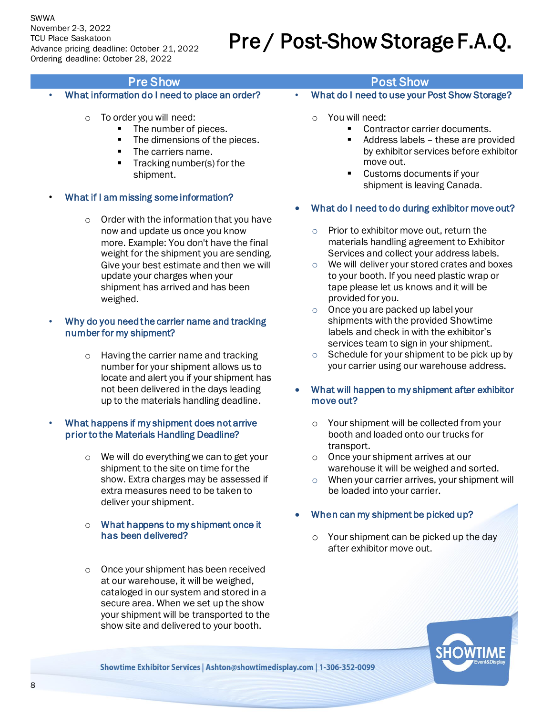#### SWWA

November 2-3, 2022 TCU Place Saskatoon Advance pricing deadline: October 21, 2022 Ordering deadline: October 28, 2022

## Pre / Post-Show Storage F.A.Q.

- What information do I need to place an order?
	- o To order you will need:
		- The number of pieces.
		- The dimensions of the pieces.
		- The carriers name.
		- Tracking number(s) for the shipment.
- What if I am missing some information?
	- o Order with the information that you have now and update us once you know more. Example: You don't have the final weight for the shipment you are sending. Give your best estimate and then we will update your charges when your shipment has arrived and has been weighed.

#### • Why do you need the carrier name and tracking number for my shipment?

o Having the carrier name and tracking number for your shipment allows us to locate and alert you if your shipment has not been delivered in the days leading up to the materials handling deadline.

#### • What happens if my shipment does not arrive prior to the Materials Handling Deadline?

- o We will do everything we can to get your shipment to the site on time for the show. Extra charges may be assessed if extra measures need to be taken to deliver your shipment.
- o What happens to my shipment once it has been delivered?
- o Once your shipment has been received at our warehouse, it will be weighed, cataloged in our system and stored in a secure area. When we set up the show your shipment will be transported to the show site and delivered to your booth.

### **Pre Show Post Show Post Show Post Show**

- What do I need to use your Post Show Storage?
	- o You will need:
		- Contractor carrier documents.
		- Address labels these are provided by exhibitor services before exhibitor move out.
		- Customs documents if your shipment is leaving Canada.
- What do I need to do during exhibitor move out?
	- o Prior to exhibitor move out, return the materials handling agreement to Exhibitor Services and collect your address labels.
	- o We will deliver your stored crates and boxes to your booth. If you need plastic wrap or tape please let us knows and it will be provided for you.
	- o Once you are packed up label your shipments with the provided Showtime labels and check in with the exhibitor's services team to sign in your shipment.
	- o Schedule for your shipment to be pick up by your carrier using our warehouse address.
- What will happen to my shipment after exhibitor move out?
	- o Your shipment will be collected from your booth and loaded onto our trucks for transport.
	- o Once your shipment arrives at our warehouse it will be weighed and sorted.
	- o When your carrier arrives, your shipment will be loaded into your carrier.

#### • When can my shipment be picked up?

o Your shipment can be picked up the day after exhibitor move out.

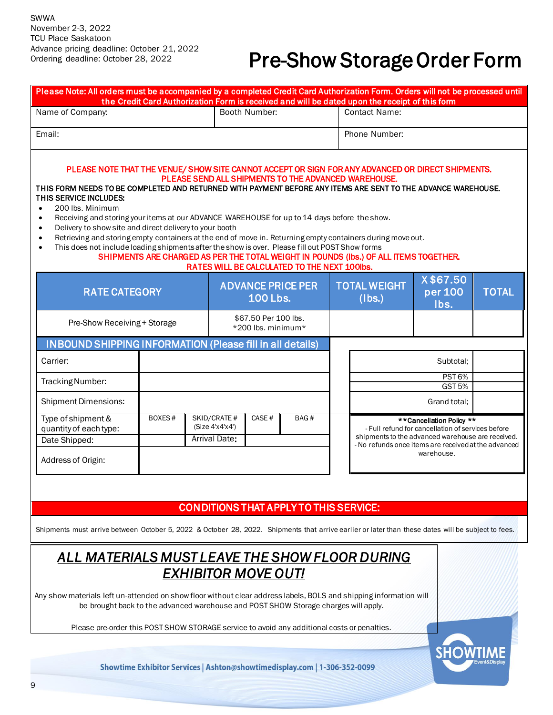### Pre-Show Storage Order Form

| Please Note: All orders must be accompanied by a completed Credit Card Authorization Form. Orders will not be processed until                                                                                                                                                                                                                                                                                                                                                                                                                                                                                                                                                                                 | the Credit Card Authorization Form is received and will be dated upon the receipt of this form                                                                                                |                                                                                                                                                                                                          |                                        |              |  |  |
|---------------------------------------------------------------------------------------------------------------------------------------------------------------------------------------------------------------------------------------------------------------------------------------------------------------------------------------------------------------------------------------------------------------------------------------------------------------------------------------------------------------------------------------------------------------------------------------------------------------------------------------------------------------------------------------------------------------|-----------------------------------------------------------------------------------------------------------------------------------------------------------------------------------------------|----------------------------------------------------------------------------------------------------------------------------------------------------------------------------------------------------------|----------------------------------------|--------------|--|--|
| Booth Number:<br>Name of Company:                                                                                                                                                                                                                                                                                                                                                                                                                                                                                                                                                                                                                                                                             |                                                                                                                                                                                               | <b>Contact Name:</b>                                                                                                                                                                                     |                                        |              |  |  |
| Email:                                                                                                                                                                                                                                                                                                                                                                                                                                                                                                                                                                                                                                                                                                        | Phone Number:                                                                                                                                                                                 |                                                                                                                                                                                                          |                                        |              |  |  |
| PLEASE NOTE THAT THE VENUE/ SHOW SITE CANNOT ACCEPT OR SIGN FOR ANY ADVANCED OR DIRECT SHIPMENTS.<br>THIS FORM NEEDS TO BE COMPLETED AND RETURNED WITH PAYMENT BEFORE ANY ITEMS ARE SENT TO THE ADVANCE WAREHOUSE.<br>THIS SERVICE INCLUDES:<br>200 lbs. Minimum<br>$\bullet$<br>Receiving and storing your items at our ADVANCE WAREHOUSE for up to 14 days before the show.<br>$\bullet$<br>Delivery to show site and direct delivery to your booth<br>$\bullet$<br>Retrieving and storing empty containers at the end of move in. Returning empty containers during move out.<br>$\bullet$<br>This does not include loading shipments after the show is over. Please fill out POST Show forms<br>$\bullet$ | PLEASE SEND ALL SHIPMENTS TO THE ADVANCED WAREHOUSE.<br>SHIPMENTS ARE CHARGED AS PER THE TOTAL WEIGHT IN POUNDS (Ibs.) OF ALL ITEMS TOGETHER.<br>RATES WILL BE CALCULATED TO THE NEXT 100lbs. |                                                                                                                                                                                                          |                                        |              |  |  |
| <b>RATE CATEGORY</b>                                                                                                                                                                                                                                                                                                                                                                                                                                                                                                                                                                                                                                                                                          | <b>ADVANCE PRICE PER</b><br><b>100 Lbs.</b>                                                                                                                                                   | <b>TOTAL WEIGHT</b><br>(lbs.)                                                                                                                                                                            | X\$67.50<br>per 100<br>Ibs.            | <b>TOTAL</b> |  |  |
| Pre-Show Receiving + Storage                                                                                                                                                                                                                                                                                                                                                                                                                                                                                                                                                                                                                                                                                  | \$67.50 Per 100 lbs.<br>*200 lbs. minimum*                                                                                                                                                    |                                                                                                                                                                                                          |                                        |              |  |  |
| <b>INBOUND SHIPPING INFORMATION (Please fill in all details)</b>                                                                                                                                                                                                                                                                                                                                                                                                                                                                                                                                                                                                                                              |                                                                                                                                                                                               |                                                                                                                                                                                                          |                                        |              |  |  |
| Carrier:                                                                                                                                                                                                                                                                                                                                                                                                                                                                                                                                                                                                                                                                                                      |                                                                                                                                                                                               |                                                                                                                                                                                                          | Subtotal;                              |              |  |  |
| Tracking Number:                                                                                                                                                                                                                                                                                                                                                                                                                                                                                                                                                                                                                                                                                              |                                                                                                                                                                                               |                                                                                                                                                                                                          | PST <sub>6%</sub><br>GST <sub>5%</sub> |              |  |  |
| <b>Shipment Dimensions:</b>                                                                                                                                                                                                                                                                                                                                                                                                                                                                                                                                                                                                                                                                                   |                                                                                                                                                                                               | Grand total;                                                                                                                                                                                             |                                        |              |  |  |
| Type of shipment &<br>BOXES#<br>quantity of each type:<br>Date Shipped:<br>Address of Origin:                                                                                                                                                                                                                                                                                                                                                                                                                                                                                                                                                                                                                 | SKID/CRATE #<br>CASE#<br>BAG#<br>(Size 4'x4'x4')<br><b>Arrival Date:</b>                                                                                                                      | **Cancellation Policy **<br>- Full refund for cancellation of services before<br>shipments to the advanced warehouse are received.<br>- No refunds once items are received at the advanced<br>warehouse. |                                        |              |  |  |
|                                                                                                                                                                                                                                                                                                                                                                                                                                                                                                                                                                                                                                                                                                               | <b>CONDITIONS THAT APPLY TO THIS SERVICE:</b>                                                                                                                                                 |                                                                                                                                                                                                          |                                        |              |  |  |
| Shipments must arrive between October 5, 2022 & October 28, 2022. Shipments that arrive earlier or later than these dates will be subject to fees.                                                                                                                                                                                                                                                                                                                                                                                                                                                                                                                                                            |                                                                                                                                                                                               |                                                                                                                                                                                                          |                                        |              |  |  |
| ALL MATERIALS MUST LEAVE THE SHOW FLOOR DURING<br><b>EXHIBITOR MOVE OUT!</b><br>Any show materials left un-attended on show floor without clear address labels, BOLS and shipping information will<br>be brought back to the advanced warehouse and POST SHOW Storage charges will apply.<br>Please pre-order this POST SHOW STORAGE service to avoid any additional costs or penalties.                                                                                                                                                                                                                                                                                                                      |                                                                                                                                                                                               |                                                                                                                                                                                                          |                                        |              |  |  |
| 9                                                                                                                                                                                                                                                                                                                                                                                                                                                                                                                                                                                                                                                                                                             | Showtime Exhibitor Services   Ashton@showtimedisplay.com   1-306-352-0099                                                                                                                     |                                                                                                                                                                                                          |                                        |              |  |  |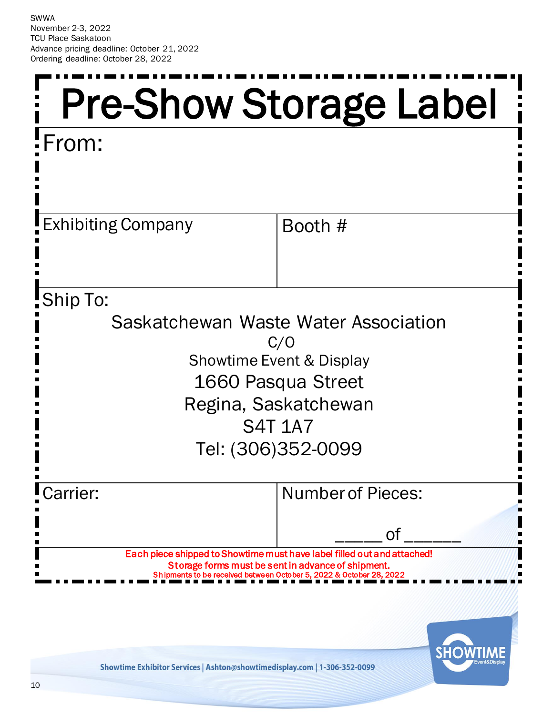<span id="page-9-0"></span>

| <b>Pre-Show Storage Label</b>                                                                                                                                            |                                                                                        |  |  |  |  |
|--------------------------------------------------------------------------------------------------------------------------------------------------------------------------|----------------------------------------------------------------------------------------|--|--|--|--|
| :From:                                                                                                                                                                   |                                                                                        |  |  |  |  |
| <b>Exhibiting Company</b>                                                                                                                                                | Booth #                                                                                |  |  |  |  |
| Ship To:                                                                                                                                                                 |                                                                                        |  |  |  |  |
| Saskatchewan Waste Water Association<br>C/O<br><b>Showtime Event &amp; Display</b><br>1660 Pasqua Street<br>Regina, Saskatchewan<br><b>S4T 1A7</b><br>Tel: (306)352-0099 |                                                                                        |  |  |  |  |
| arrier:                                                                                                                                                                  | <b>Number of Pieces:</b>                                                               |  |  |  |  |
| 0f<br>Each piece shipped to Showtime must have label filled out and attached!<br>Storage forms must be sent in advance of shipment.                                      |                                                                                        |  |  |  |  |
|                                                                                                                                                                          | Shipments to be received between October 5, 2022 & October 28, 2022<br><b>SHOWTIME</b> |  |  |  |  |

Showtime Exhibitor Services | Ashton@showtimedisplay.com | 1-306-352-0099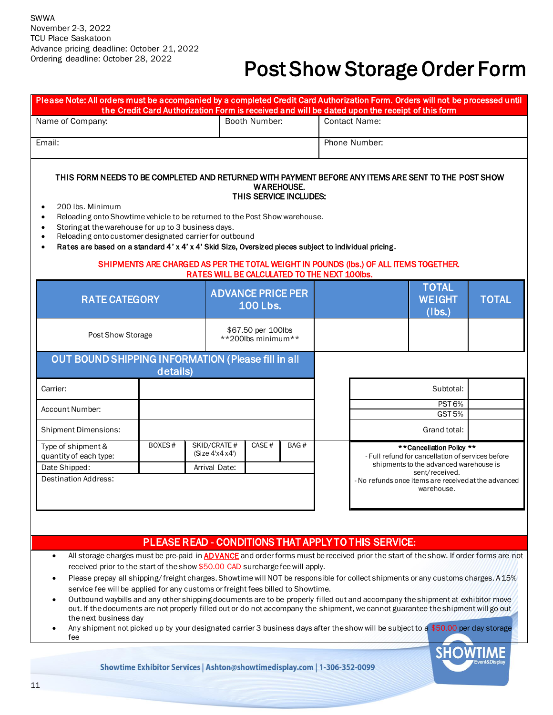### Post Show Storage Order Form

| Please Note: All orders must be accompanied by a completed Credit Card Authorization Form. Orders will not be processed until<br>the Credit Card Authorization Form is received and will be dated upon the receipt of this form                                                                                                                                                                                                                                                  |        |                                               |                                             |      |                      |                                                                                                                                                                                                                 |                                         |              |  |  |
|----------------------------------------------------------------------------------------------------------------------------------------------------------------------------------------------------------------------------------------------------------------------------------------------------------------------------------------------------------------------------------------------------------------------------------------------------------------------------------|--------|-----------------------------------------------|---------------------------------------------|------|----------------------|-----------------------------------------------------------------------------------------------------------------------------------------------------------------------------------------------------------------|-----------------------------------------|--------------|--|--|
| Name of Company:                                                                                                                                                                                                                                                                                                                                                                                                                                                                 |        |                                               | Booth Number:                               |      | <b>Contact Name:</b> |                                                                                                                                                                                                                 |                                         |              |  |  |
| Email:                                                                                                                                                                                                                                                                                                                                                                                                                                                                           |        |                                               |                                             |      | Phone Number:        |                                                                                                                                                                                                                 |                                         |              |  |  |
| THIS FORM NEEDS TO BE COMPLETED AND RETURNED WITH PAYMENT BEFORE ANY ITEMS ARE SENT TO THE POST SHOW<br><b>WAREHOUSE.</b><br>THIS SERVICE INCLUDES:<br>200 lbs. Minimum<br>Reloading onto Showtime vehicle to be returned to the Post Show warehouse.<br>Storing at the warehouse for up to 3 business days.<br>Reloading onto customer designated carrier for outbound<br>Rates are based on a standard 4' x 4' x 4' Skid Size, Oversized pieces subject to individual pricing. |        |                                               |                                             |      |                      |                                                                                                                                                                                                                 |                                         |              |  |  |
| SHIPMENTS ARE CHARGED AS PER THE TOTAL WEIGHT IN POUNDS (Ibs.) OF ALL ITEMS TOGETHER.<br>RATES WILL BE CALCULATED TO THE NEXT 100lbs.                                                                                                                                                                                                                                                                                                                                            |        |                                               |                                             |      |                      |                                                                                                                                                                                                                 |                                         |              |  |  |
| <b>RATE CATEGORY</b>                                                                                                                                                                                                                                                                                                                                                                                                                                                             |        |                                               | <b>ADVANCE PRICE PER</b><br><b>100 Lbs.</b> |      |                      |                                                                                                                                                                                                                 | <b>TOTAL</b><br><b>WEIGHT</b><br>(Ibs.) | <b>TOTAL</b> |  |  |
| Post Show Storage                                                                                                                                                                                                                                                                                                                                                                                                                                                                |        |                                               | \$67.50 per 100lbs<br>**200lbs minimum**    |      |                      |                                                                                                                                                                                                                 |                                         |              |  |  |
| OUT BOUND SHIPPING INFORMATION (Please fill in all<br>details)                                                                                                                                                                                                                                                                                                                                                                                                                   |        |                                               |                                             |      |                      |                                                                                                                                                                                                                 |                                         |              |  |  |
| Carrier:                                                                                                                                                                                                                                                                                                                                                                                                                                                                         |        |                                               |                                             |      |                      |                                                                                                                                                                                                                 | Subtotal:                               |              |  |  |
| Account Number:                                                                                                                                                                                                                                                                                                                                                                                                                                                                  |        |                                               |                                             |      |                      | <b>PST 6%</b><br><b>GST 5%</b>                                                                                                                                                                                  |                                         |              |  |  |
| <b>Shipment Dimensions:</b>                                                                                                                                                                                                                                                                                                                                                                                                                                                      |        |                                               |                                             |      |                      | Grand total:                                                                                                                                                                                                    |                                         |              |  |  |
| Type of shipment &<br>quantity of each type:<br>Date Shipped:<br><b>Destination Address:</b>                                                                                                                                                                                                                                                                                                                                                                                     | BOXES# | SKID/CRATE #<br>(Size 4x4x4)<br>Arrival Date: | CASE#                                       | BAG# |                      | **Cancellation Policy **<br>- Full refund for cancellation of services before<br>shipments to the advanced warehouse is<br>sent/received.<br>- No refunds once items are received at the advanced<br>warehouse. |                                         |              |  |  |
|                                                                                                                                                                                                                                                                                                                                                                                                                                                                                  |        |                                               |                                             |      |                      |                                                                                                                                                                                                                 |                                         |              |  |  |

#### PLEASE READ - CONDITIONS THAT APPLY TO THIS SERVICE:

- All storage charges must be pre-paid in **ADVANCE** and order forms must be received prior the start of the show. If order forms are not received prior to the start of the show \$50.00 CAD surcharge fee will apply.
- Please prepay all shipping/ freight charges. Showtime will NOT be responsible for collect shipments or any customs charges. A 15% service fee will be applied for any customs or freight fees billed to Showtime.
- Outbound waybills and any other shipping documents are to be properly filled out and accompany the shipment at exhibitor move out. If the documents are not properly filled out or do not accompany the shipment, we cannot guarantee the shipment will go out the next business day
- Any shipment not picked up by your designated carrier 3 business days after the show will be subject to a \$50.00 per day storage fee

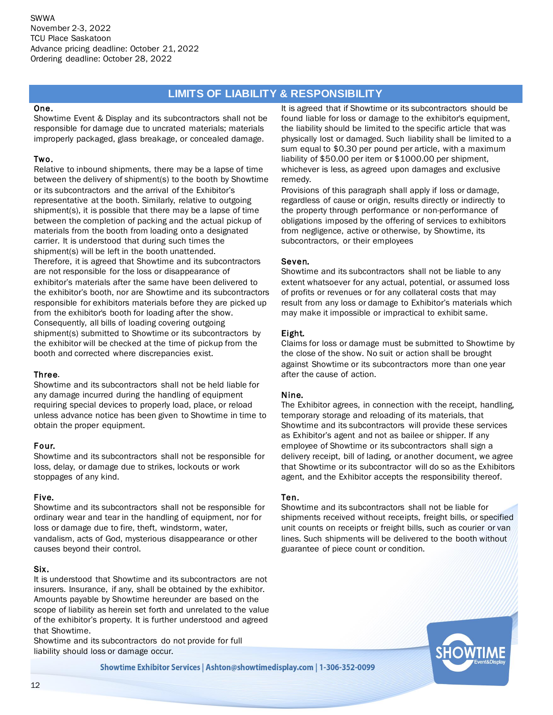#### **LIMITS OF LIABILITY & RESPONSIBILITY**

#### One.

Showtime Event & Display and its subcontractors shall not be responsible for damage due to uncrated materials; materials improperly packaged, glass breakage, or concealed damage.

#### Two.

Relative to inbound shipments, there may be a lapse of time between the delivery of shipment(s) to the booth by Showtime or its subcontractors and the arrival of the Exhibitor's representative at the booth. Similarly, relative to outgoing shipment(s), it is possible that there may be a lapse of time between the completion of packing and the actual pickup of materials from the booth from loading onto a designated carrier. It is understood that during such times the shipment(s) will be left in the booth unattended. Therefore, it is agreed that Showtime and its subcontractors are not responsible for the loss or disappearance of exhibitor's materials after the same have been delivered to the exhibitor's booth, nor are Showtime and its subcontractors responsible for exhibitors materials before they are picked up from the exhibitor's booth for loading after the show. Consequently, all bills of loading covering outgoing shipment(s) submitted to Showtime or its subcontractors by the exhibitor will be checked at the time of pickup from the booth and corrected where discrepancies exist.

#### Three.

Showtime and its subcontractors shall not be held liable for any damage incurred during the handling of equipment requiring special devices to properly load, place, or reload unless advance notice has been given to Showtime in time to obtain the proper equipment.

#### Four.

Showtime and its subcontractors shall not be responsible for loss, delay, or damage due to strikes, lockouts or work stoppages of any kind.

#### Five.

Showtime and its subcontractors shall not be responsible for ordinary wear and tear in the handling of equipment, nor for loss or damage due to fire, theft, windstorm, water, vandalism, acts of God, mysterious disappearance or other causes beyond their control.

#### Six.

It is understood that Showtime and its subcontractors are not insurers. Insurance, if any, shall be obtained by the exhibitor. Amounts payable by Showtime hereunder are based on the scope of liability as herein set forth and unrelated to the value of the exhibitor's property. It is further understood and agreed that Showtime.

Showtime and its subcontractors do not provide for full liability should loss or damage occur.

It is agreed that if Showtime or its subcontractors should be found liable for loss or damage to the exhibitor's equipment, the liability should be limited to the specific article that was physically lost or damaged. Such liability shall be limited to a sum equal to \$0.30 per pound per article, with a maximum liability of \$50.00 per item or \$1000.00 per shipment, whichever is less, as agreed upon damages and exclusive remedy.

Provisions of this paragraph shall apply if loss or damage, regardless of cause or origin, results directly or indirectly to the property through performance or non-performance of obligations imposed by the offering of services to exhibitors from negligence, active or otherwise, by Showtime, its subcontractors, or their employees

#### Seven.

Showtime and its subcontractors shall not be liable to any extent whatsoever for any actual, potential, or assumed loss of profits or revenues or for any collateral costs that may result from any loss or damage to Exhibitor's materials which may make it impossible or impractical to exhibit same.

#### Eight.

Claims for loss or damage must be submitted to Showtime by the close of the show. No suit or action shall be brought against Showtime or its subcontractors more than one year after the cause of action.

#### Nine.

The Exhibitor agrees, in connection with the receipt, handling, temporary storage and reloading of its materials, that Showtime and its subcontractors will provide these services as Exhibitor's agent and not as bailee or shipper. If any employee of Showtime or its subcontractors shall sign a delivery receipt, bill of lading, or another document, we agree that Showtime or its subcontractor will do so as the Exhibitors agent, and the Exhibitor accepts the responsibility thereof.

#### Ten.

Showtime and its subcontractors shall not be liable for shipments received without receipts, freight bills, or specified unit counts on receipts or freight bills, such as courier or van lines. Such shipments will be delivered to the booth without guarantee of piece count or condition.